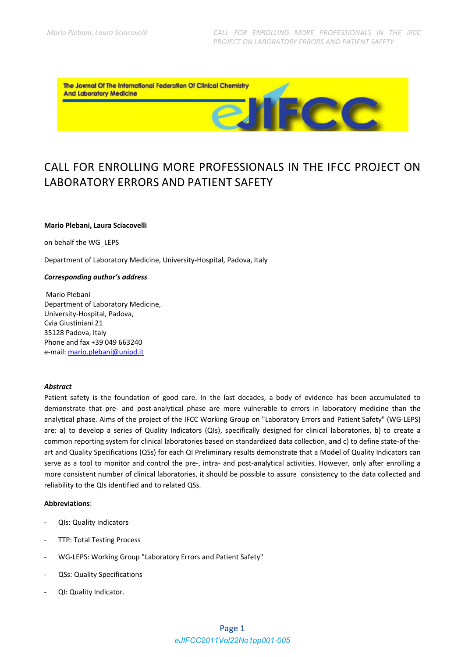<u>cc</u>

The Journal Of The International Federation Of Clinical Chemistry **And Laboratory Medicine** 

# CALL FOR ENROLLING MORE PROFESSIONALS IN THE IFCC PROJECT ON **LABORATORY FRRORS AND PATIENT SAFFTY**

#### Mario Plebani, Laura Sciacovelli

on behalf the WG LEPS

Department of Laboratory Medicine, University-Hospital, Padova, Italy

#### **Corresponding author's address**

Mario Plebani Department of Laboratory Medicine. University-Hospital, Padova, Cvia Giustiniani 21 35128 Padova, Italy Phone and fax +39 049 663240 e-mail: mario.plebani@unipd.it

#### **Abstract**

Patient safety is the foundation of good care. In the last decades, a body of evidence has been accumulated to demonstrate that pre- and post-analytical phase are more vulnerable to errors in laboratory medicine than the analytical phase. Aims of the project of the IFCC Working Group on "Laboratory Errors and Patient Safety" (WG-LEPS) are: a) to develop a series of Quality Indicators (QIs), specifically designed for clinical laboratories, b) to create a common reporting system for clinical laboratories based on standardized data collection, and c) to define state-of theart and Quality Specifications (QSs) for each QI Preliminary results demonstrate that a Model of Quality Indicators can serve as a tool to monitor and control the pre-, intra- and post-analytical activities. However, only after enrolling a more consistent number of clinical laboratories, it should be possible to assure consistency to the data collected and reliability to the QIs identified and to related QSs.

#### **Abbreviations:**

- Qls: Quality Indicators
- **TTP: Total Testing Process**
- WG-LEPS: Working Group "Laboratory Errors and Patient Safety"
- **QSs: Quality Specifications**  $\overline{a}$
- QI: Quality Indicator.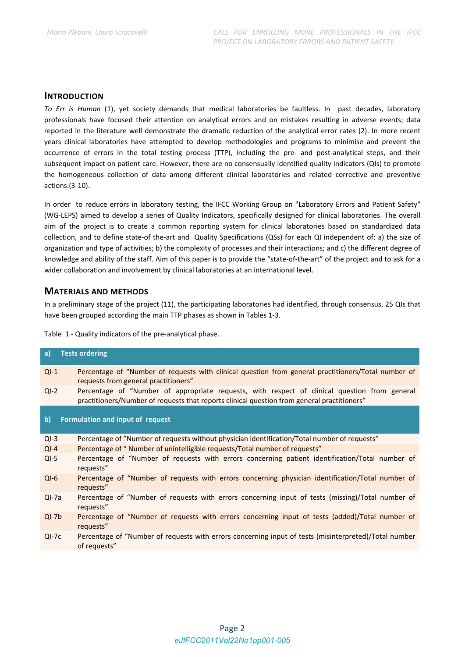#### **INTRODUCTION**

*To Err is Human* (1), yet society demands that medical laboratories be faultless. In past decades, laboratory professionals have focused their attention on analytical errors and on mistakes resulting in adverse events; data reported in the literature well demonstrate the dramatic reduction of the analytical error rates (2). In more recent years clinical laboratories have attempted to develop methodologies and programs to minimise and prevent the occurrence of errors in the total testing process (TTP), including the pre- and post-analytical steps, and their subsequent impact on patient care. However, there are no consensually identified quality indicators (QIs) to promote the homogeneous collection of data among different clinical laboratories and related corrective and preventive actions.(3‐10).

In order to reduce errors in laboratory testing, the IFCC Working Group on "Laboratory Errors and Patient Safety" (WG‐LEPS) aimed to develop a series of Quality Indicators, specifically designed for clinical laboratories. The overall aim of the project is to create a common reporting system for clinical laboratories based on standardized data collection, and to define state-of the-art and Quality Specifications (QSs) for each QI independent of: a) the size of organization and type of activities; b) the complexity of processes and their interactions; and c) the different degree of knowledge and ability of the staff. Aim of this paper is to provide the "state-of-the-art" of the project and to ask for a wider collaboration and involvement by clinical laboratories at an international level.

#### **MATERIALS AND METHODS**

In a preliminary stage of the project (11), the participating laboratories had identified, through consensus, 25 QIs that have been grouped according the main TTP phases as shown in Tables 1‐3.

|  |  |  |  |  |  | Table 1 - Quality indicators of the pre-analytical phase. |
|--|--|--|--|--|--|-----------------------------------------------------------|
|--|--|--|--|--|--|-----------------------------------------------------------|

| a)<br><b>Tests ordering</b> |                                                                                                                                                                                              |  |  |  |
|-----------------------------|----------------------------------------------------------------------------------------------------------------------------------------------------------------------------------------------|--|--|--|
| $QI-1$                      | Percentage of "Number of requests with clinical question from general practitioners/Total number of<br>requests from general practitioners"                                                  |  |  |  |
| $QI-2$                      | Percentage of "Number of appropriate requests, with respect of clinical question from general<br>practitioners/Number of requests that reports clinical question from general practitioners" |  |  |  |
| $\mathbf{b}$                | Formulation and input of request                                                                                                                                                             |  |  |  |
| $QI-3$                      | Percentage of "Number of requests without physician identification/Total number of requests"                                                                                                 |  |  |  |
| $QI-4$                      | Percentage of "Number of unintelligible requests/Total number of requests"                                                                                                                   |  |  |  |
| $QI-5$                      | Percentage of "Number of requests with errors concerning patient identification/Total number of<br>requests"                                                                                 |  |  |  |
| $QI-6$                      | Percentage of "Number of requests with errors concerning physician identification/Total number of<br>requests"                                                                               |  |  |  |
| $QI-7a$                     | Percentage of "Number of requests with errors concerning input of tests (missing)/Total number of<br>requests"                                                                               |  |  |  |
| $QI-7b$                     | Percentage of "Number of requests with errors concerning input of tests (added)/Total number of<br>requests"                                                                                 |  |  |  |
| $QI-7c$                     | Percentage of "Number of requests with errors concerning input of tests (misinterpreted)/Total number<br>of requests"                                                                        |  |  |  |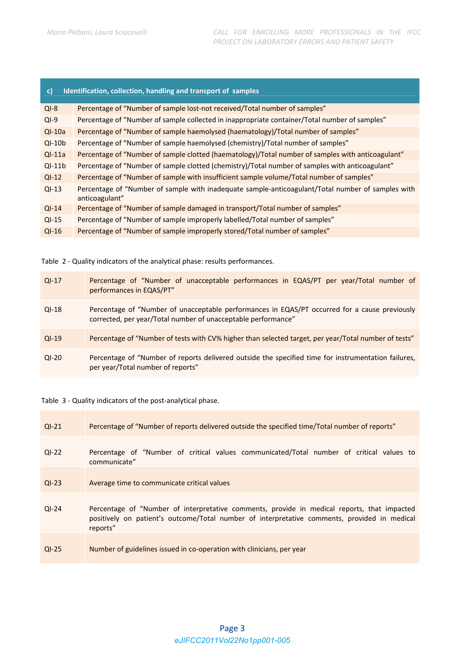| Identification, collection, handling and transport of samples<br>$\mathbf{c}$ |                                                                                                                     |  |  |  |
|-------------------------------------------------------------------------------|---------------------------------------------------------------------------------------------------------------------|--|--|--|
| $QI-8$                                                                        | Percentage of "Number of sample lost-not received/Total number of samples"                                          |  |  |  |
| $QI-9$                                                                        | Percentage of "Number of sample collected in inappropriate container/Total number of samples"                       |  |  |  |
| $QI-10a$                                                                      | Percentage of "Number of sample haemolysed (haematology)/Total number of samples"                                   |  |  |  |
| $QI-10b$                                                                      | Percentage of "Number of sample haemolysed (chemistry)/Total number of samples"                                     |  |  |  |
| $QI-11a$                                                                      | Percentage of "Number of sample clotted (haematology)/Total number of samples with anticoagulant"                   |  |  |  |
| $QI-11b$                                                                      | Percentage of "Number of sample clotted (chemistry)/Total number of samples with anticoagulant"                     |  |  |  |
| $QI-12$                                                                       | Percentage of "Number of sample with insufficient sample volume/Total number of samples"                            |  |  |  |
| $QI-13$                                                                       | Percentage of "Number of sample with inadequate sample-anticoagulant/Total number of samples with<br>anticoagulant" |  |  |  |
| $QI-14$                                                                       | Percentage of "Number of sample damaged in transport/Total number of samples"                                       |  |  |  |
| $QI-15$                                                                       | Percentage of "Number of sample improperly labelled/Total number of samples"                                        |  |  |  |
| $QI-16$                                                                       | Percentage of "Number of sample improperly stored/Total number of samples"                                          |  |  |  |
|                                                                               |                                                                                                                     |  |  |  |

Table 2 ‐ Quality indicators of the analytical phase: results performances.

| $QI-17$ | Percentage of "Number of unacceptable performances in EQAS/PT per year/Total number of<br>performances in EQAS/PT"                                             |
|---------|----------------------------------------------------------------------------------------------------------------------------------------------------------------|
| $QI-18$ | Percentage of "Number of unacceptable performances in EQAS/PT occurred for a cause previously<br>corrected, per year/Total number of unacceptable performance" |
| $QI-19$ | Percentage of "Number of tests with CV% higher than selected target, per year/Total number of tests"                                                           |
| $QI-20$ | Percentage of "Number of reports delivered outside the specified time for instrumentation failures,<br>per year/Total number of reports"                       |

Table 3 - Quality indicators of the post-analytical phase.

| $QI-21$ | Percentage of "Number of reports delivered outside the specified time/Total number of reports"                                                                                                          |
|---------|---------------------------------------------------------------------------------------------------------------------------------------------------------------------------------------------------------|
| $QI-22$ | Percentage of "Number of critical values communicated/Total number of critical values to<br>communicate"                                                                                                |
| $QI-23$ | Average time to communicate critical values                                                                                                                                                             |
| $QI-24$ | Percentage of "Number of interpretative comments, provide in medical reports, that impacted<br>positively on patient's outcome/Total number of interpretative comments, provided in medical<br>reports" |
| $QI-25$ | Number of guidelines issued in co-operation with clinicians, per year                                                                                                                                   |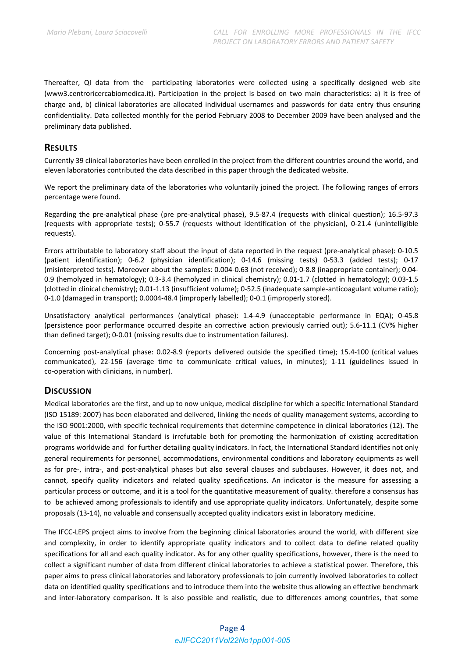Thereafter, QI data from the participating laboratories were collected using a specifically designed web site (www3.centroricercabiomedica.it). Participation in the project is based on two main characteristics: a) it is free of charge and, b) clinical laboratories are allocated individual usernames and passwords for data entry thus ensuring confidentiality. Data collected monthly for the period February 2008 to December 2009 have been analysed and the preliminary data published.

### **RESULTS**

Currently 39 clinical laboratories have been enrolled in the project from the different countries around the world, and eleven laboratories contributed the data described in this paper through the dedicated website.

We report the preliminary data of the laboratories who voluntarily joined the project. The following ranges of errors percentage were found.

Regarding the pre‐analytical phase (pre pre‐analytical phase), 9.5‐87.4 (requests with clinical question); 16.5‐97.3 (requests with appropriate tests); 0‐55.7 (requests without identification of the physician), 0‐21.4 (unintelligible requests).

Errors attributable to laboratory staff about the input of data reported in the request (pre‐analytical phase): 0‐10.5 (patient identification); 0‐6.2 (physician identification); 0‐14.6 (missing tests) 0‐53.3 (added tests); 0‐17 (misinterpreted tests). Moreover about the samples: 0.004‐0.63 (not received); 0‐8.8 (inappropriate container); 0.04‐ 0.9 (hemolyzed in hematology); 0.3‐3.4 (hemolyzed in clinical chemistry); 0.01‐1.7 (clotted in hematology); 0.03‐1.5 (clotted in clinical chemistry); 0.01‐1.13 (insufficient volume); 0‐52.5 (inadequate sample‐anticoagulant volume ratio); 0‐1.0 (damaged in transport); 0.0004‐48.4 (improperly labelled); 0‐0.1 (improperly stored).

Unsatisfactory analytical performances (analytical phase): 1.4‐4.9 (unacceptable performance in EQA); 0‐45.8 (persistence poor performance occurred despite an corrective action previously carried out); 5.6‐11.1 (CV% higher than defined target); 0‐0.01 (missing results due to instrumentation failures).

Concerning post‐analytical phase: 0.02‐8.9 (reports delivered outside the specified time); 15.4‐100 (critical values communicated), 22‐156 (average time to communicate critical values, in minutes); 1‐11 (guidelines issued in co‐operation with clinicians, in number).

## **DISCUSSION**

Medical laboratories are the first, and up to now unique, medical discipline for which a specific International Standard (ISO 15189: 2007) has been elaborated and delivered, linking the needs of quality management systems, according to the ISO 9001:2000, with specific technical requirements that determine competence in clinical laboratories (12). The value of this International Standard is irrefutable both for promoting the harmonization of existing accreditation programs worldwide and for further detailing quality indicators. In fact, the International Standard identifies not only general requirements for personnel, accommodations, environmental conditions and laboratory equipments as well as for pre-, intra-, and post-analytical phases but also several clauses and subclauses. However, it does not, and cannot, specify quality indicators and related quality specifications. An indicator is the measure for assessing a particular process or outcome, and it is a tool for the quantitative measurement of quality. therefore a consensus has to be achieved among professionals to identify and use appropriate quality indicators. Unfortunately, despite some proposals (13‐14), no valuable and consensually accepted quality indicators exist in laboratory medicine.

The IFCC-LEPS project aims to involve from the beginning clinical laboratories around the world, with different size and complexity, in order to identify appropriate quality indicators and to collect data to define related quality specifications for all and each quality indicator. As for any other quality specifications, however, there is the need to collect a significant number of data from different clinical laboratories to achieve a statistical power. Therefore, this paper aims to press clinical laboratories and laboratory professionals to join currently involved laboratories to collect data on identified quality specifications and to introduce them into the website thus allowing an effective benchmark and inter-laboratory comparison. It is also possible and realistic, due to differences among countries, that some